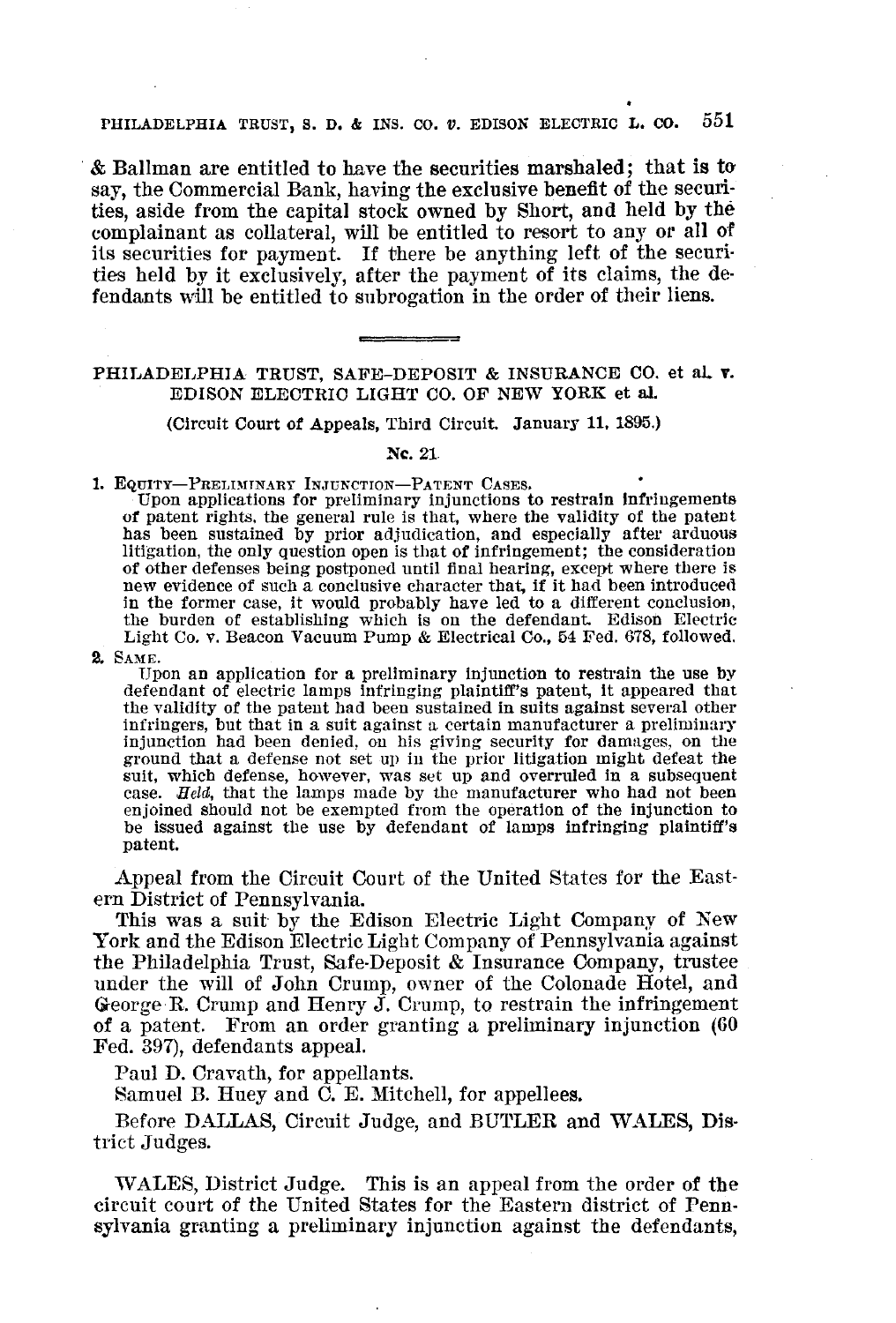## PHILADELPHIA TRUST, S. D. & INS. CO. *v.* EDISON ELECTRIC L. CO. 551

.& Ballman are entitled to have the securities marshaled; that is to' say, the Commercial Bank, having the exclusive benefit of the securities, aside from the capital stock owned by Short, and held by the complainant as collateral, will be entitled to resort to any or all of its securities for payment. If there be anything left of the securities held by it exclusively, after the payment of its claims, the defendants will be entitled to subrogation in the order of their liens.

## PHILADELPHIA TRUST, SAFE-DEPOSIT & INSURANCE CO. et al. v. EDISON ELECTRIC LIGHT CO. OF NEW YORK et al.

(Circuit Court of Appeals, Third Circuit. January 11, 1895.)

## Nc.21

1. EQUITY-PRELIMINARY INJUNCTION-PATENT CASES.

Upon applications for preliminary Injunctions to restrain Infringements *ot* patent rights, the general rule is that, where the validity of the patent has been sustained by prior adjudication, and especially after arduous litigation, the only question open is that of infringement; the consideration of other defenses being postponed until final hearing, except where there is new evidence of such a conclusive character that, if it had been introduced in the former case, it would probably have led to a different conclusion, the burden of establishing which is on the defendant. Edison Electric Light Co. v. Beacon Vacuum Pump & Electrical Co., 54 Fed. 678, followed.

2. SAME.

Upon an application for a preliminary Injunction to restrain the use by defendant of electric lamps infringing plaintiff's patent, It appeared that the validity of the patent had been sustained in suits against several other infringers, but that in a suit against a certain manufacturer a preliminary injunction had been denied, on his giving security for damages, on the ground that a defense not set up in the prior litigation might defeat the suit, which defense, however, was set up and overruled in <sup>a</sup> subsequent case. *Held,* that the lamps made by the manufacturer who had not been enjoined should not be exempted from the operation of the injunction to be issued against the use by defendant of lamps infringing plaintiff's patent.

Appeal from the Circuit Court of the United States for the Eastern District of Pennsylvania.

This was a suit by the Edison Electric Light Company of New York and the Edison Electric Light Company of Pennsylvania against the Philadelphia Trust, Safe-Deposit & Insurance Company, trustee under the will of John Crump, owner of the Colonade Hotel, and George R. Crump and Henry J. Crump, to restrain the infringement of a patent. From an order granting a preliminary injunction (60 Fed. 397), defendants appeal.

Paul D. Cravath, for appellants.

Samuel B. Huey and C. E. Mitchell, for appellees.

Before DALLAS, Circuit Judge, and BUTLER and WALES, District Judges.

WALES, District Judge. This is an appeal from the order of the circuit court of the United States for the Eastern district of Penn· sylvania granting a preliminary injunction against the defendants,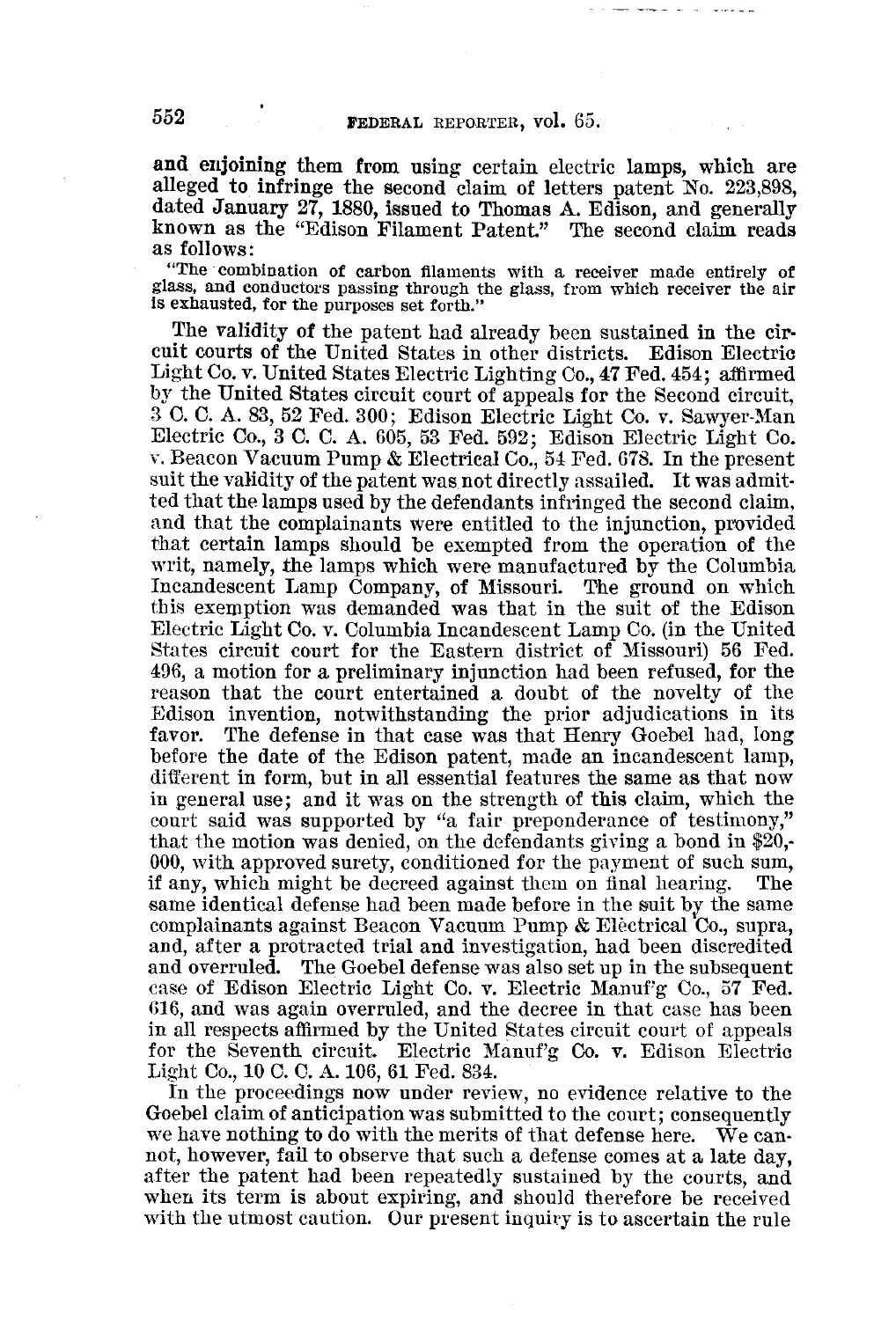and enjoining them from using certain electric lamps, which are alleged to infringe the second claim of letters patent No. 223,898, dated January 27, 1880, issued to Thomas A. Edison, and generally known as the "Edison Filament Patent." The second claim reads as follows:

"The combination of carbon filaments with a receiver made entirely of glass, and conductors passing through the glass, from which receiver the air is exhausted, for the purposes set forth."

The validity of the patent had already been sustained in the circuit courts of the United States in other districts. Edison Electric Light Co. v. United States Electric Lighting Co., 47 Fed. 454; affirmed by the United States circuit court of appeals for the Second circuit, 3 C. C. A. 83, 52 Fed. 300; Edison Electric Light Co. v. Sawyer-Man Electric Co., 3 C. C. A. 605, 53 Fed. 592; Edison Electric Light Co. v. Beacon Vacuum Pump & Electrical Co., 54 Fed. 678. In the present suit the validity of the patent was not directly assailed. It was admit· ted that the lamps used by the defendants infringed the second claim, and that the complainants were entitled to the injunction, provided that certain lamps should be exempted from the operation of the writ, namely, the lamps which were manufactured by the Columbia Incandescent Lamp Company, of Missouri. The ground on which tbis exemption was demanded was that in the suit of the Edison Electric Light Co. v. Columbia Incandescent Lamp Co. (in the United States circuit court for the Eastern district of Missouri) 56 Fed. 496, a motion for a preliminary injunction had been refused, for the reason that the court entertained a doubt of the novelty of the Edison invention, notwithstanding the prior adjudications in its The defense in that case was that Henry Goebel had, long before the date of the Edison patent, made an incandescent lamp, different in form, but in all essential features the same as that now in general use; and it was on the strength of this claim, which the court said was supported by "a fair preponderance of testimony," that the motion was denied, on the defendants giving a bond in  $20$ . 000, with approved surety, conditioned for the payment of such sum, if any, which might be decreed against them on final hearing. The same identical defense had been made before in the suit by the same complainants against Beacon Vacuum Pump & Electrical Co., supra, and, after a protracted trial and investigation, had been discredited and overruled. The Goebel defense was also set up in the subsequent case of Edison Electric Light Co. v. Electric Manuf'g Co., 57 Fed. 616, and was again overruled, and the decree in that case has been in all respects affirmed by the United States circuit court of appeals for the Seventh circuit. Electric Manuf'g Co. v. Edison Electric Light Co., 10 C. C. A.106, 61 Fed. 834.

In the proceedings now under review, no evidence relative to the Goebel claim of anticipation was submitted to the court; consequently we have nothing to do with the merits of that defense here. We cannot, however, fail to observe that such a defense comes at a late day, after the patent had been repeatedly sustained by the courts, and when its term is about expiring, and should therefore be received with the utmost caution. Our present inquiry is to ascertain the rule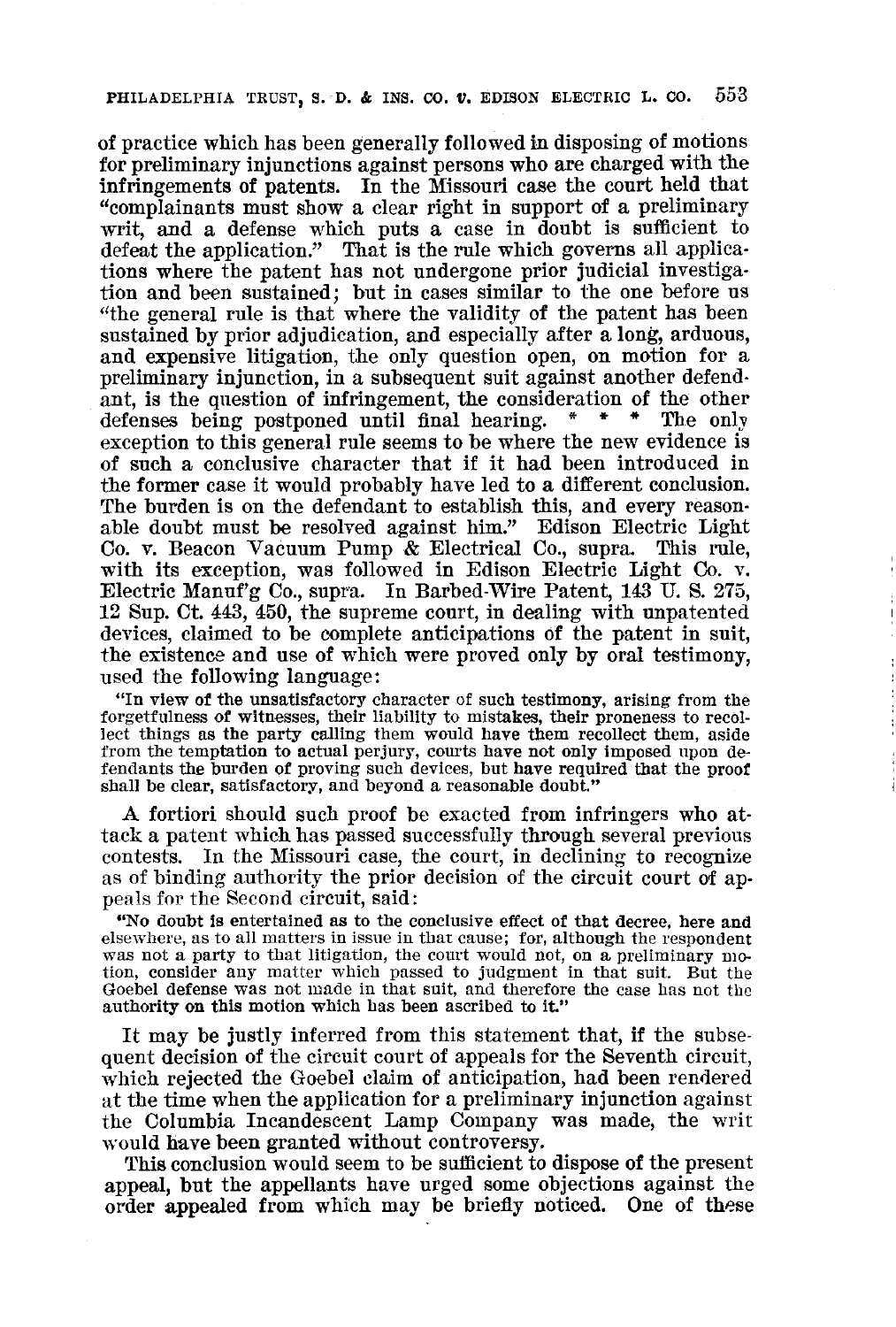of practice which has been generally followed in disposing of motions for preliminary injunctions against persons who are charged with the infringements of patents. In the Missouri case the court held that "complainants must show a clear right in support of a preliminary writ, and a defense which puts a case in doubt is sufficient to defeat the application." That is the rule which governs all applica· tions where the patent has not undergone prior judicial investiga· tion and been sustained; but in cases similar to the one before us "the general rule is that where the validity of the patent has been sustained by prior adjudication, and especially after a long, arduous, and expensive litigation, the only question open, on motion for a preliminary injunction, in a subsequent suit against another defend· ant, is the question of infringement, the consideration of the other defenses being postponed until final hearing.  $* * * *$  The only defenses being postponed until final hearing. exception to this general rule seems to be where the new evidence is of such a conclusive character that if it had been introduced in the former case it would probably have led to a different conclusion. The burden is on the defendant to establish this, and every reason· able doubt must be resolved against him." Edison Electric Light Co. v. Beacon Vacuum Pump & Electrical Co., supra. This rule, with its exception, was followed in Edison Electric Light Co. v. Electric Manuf'g Co., supra. In Barbed-Wire Patent, 143 U. S. 275, 12 Sup. Ct. 443, 450, the supreme court, in dealing with unpatented devices, claimed to be complete anticipations of the patent in suit, the existence and use of which were proved only by oral testimony, used the following language:

"In view *ot* the unsatisfactory character of such testimony, arising from the forgetfulness *ot* witnesses, their liability to mistakes, their proneness to recollect things as the party calling them would have them recollect them, aside from the temptation to actual perjury, courts have not only imposed upon defendants the burden of proving such devices, but have required that the proof shall be clear, satisfactory, and beyond <sup>a</sup> reasonable doubt."

A fortiori should such proof be exacted from infringers who at· tack a patent which has passed successfully through several previous contests. In the Missouri case, the court, in declining to recognize as of binding authority the prior decision of the circuit court of ap· peals for the Second circuit, said:

"No doubt is entertained as to the conclusive effect of that decree, here and was not a party to that litigation, the court would not, on a preliminary motion, consider any matter which passed to judgment in that suit. But the Goebel defense was not made in that suit, and therefore the case has not the authority on this motion which has been ascribed to it."

It may be justly inferred from this statement that, if the subsequent decision of the circuit court of appeals for the Seventh circuit, which rejected the Goebel claim of anticipation, had been rendered at the time when the application for a preliminary injunction against the Columbia Incandescent Lamp Company was made, the writ would have been granted without controversy.

This conclusion would seem to be sufficient to dispose of the present appeal, but the appellants have urged some objections against the order appealed from which may be briefly noticed. One of these